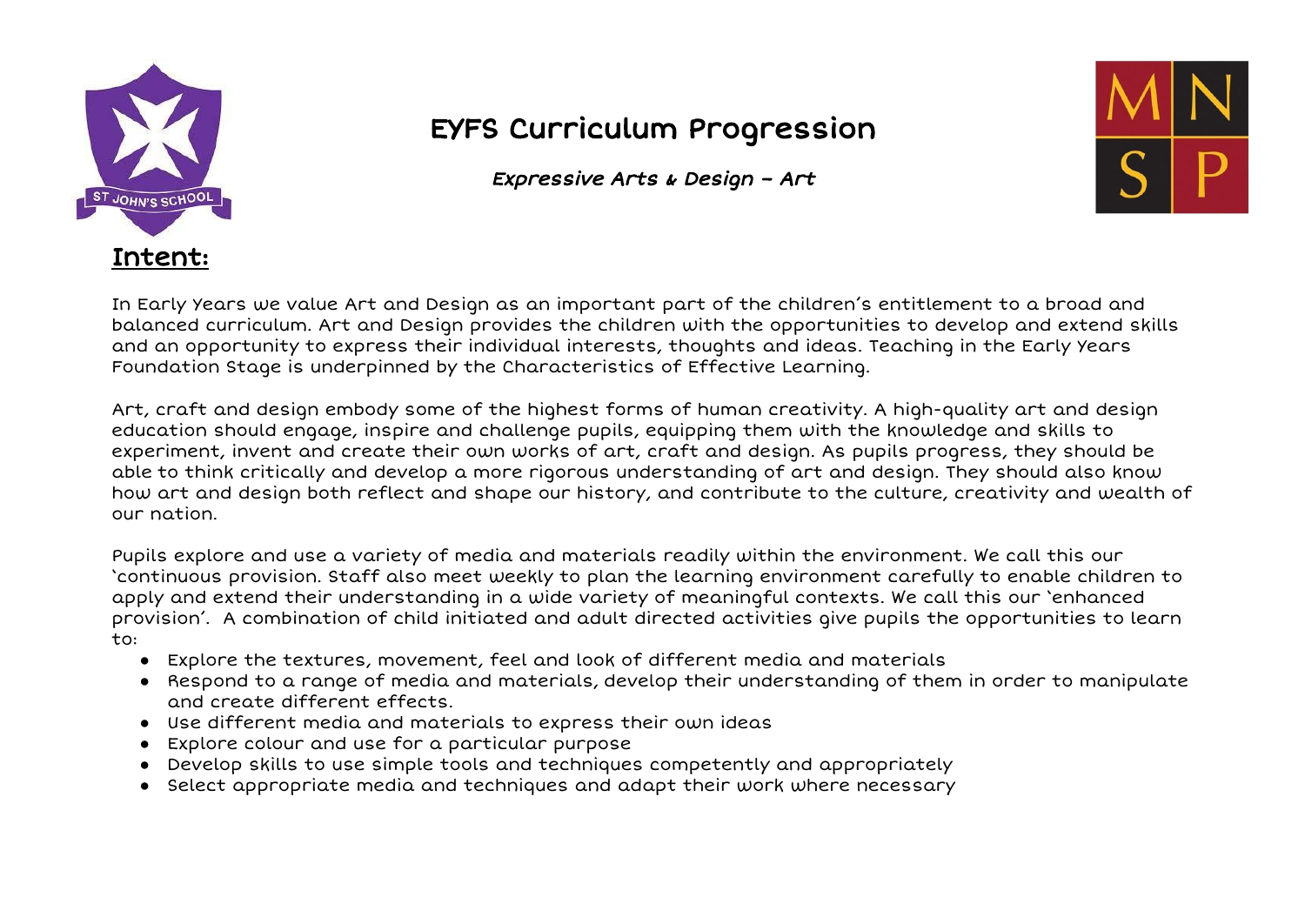

## EYFS Curriculum Progression

Expressive Arts & Design – Art



In Early Years we value Art and Design as an important part of the children's entitlement to a broad and balanced curriculum. Art and Design provides the children with the opportunities to develop and extend skills and an opportunity to express their individual interests, thoughts and ideas. Teaching in the Early Years Foundation Stage is underpinned by the Characteristics of Effective Learning.

Art, craft and design embody some of the highest forms of human creativity. A high-quality art and design education should engage, inspire and challenge pupils, equipping them with the knowledge and skills to experiment, invent and create their own works of art, craft and design. As pupils progress, they should be able to think critically and develop a more rigorous understanding of art and design. They should also know how art and design both reflect and shape our history, and contribute to the culture, creativity and wealth of our nation.

Pupils explore and use a variety of media and materials readily within the environment. We call this our 'continuous provision. Staff also meet weekly to plan the learning environment carefully to enable children to apply and extend their understanding in a wide variety of meaningful contexts. We call this our 'enhanced provision'. A combination of child initiated and adult directed activities give pupils the opportunities to learn  $t^{\circ}$ 

- Explore the textures, movement, feel and look of different media and materials
- Respond to a range of media and materials, develop their understanding of them in order to manipulate and create different effects.
- Use different media and materials to express their own ideas
- Explore colour and use for a particular purpose
- Develop skills to use simple tools and techniques competently and appropriately
- Select appropriate media and techniques and adapt their work where necessary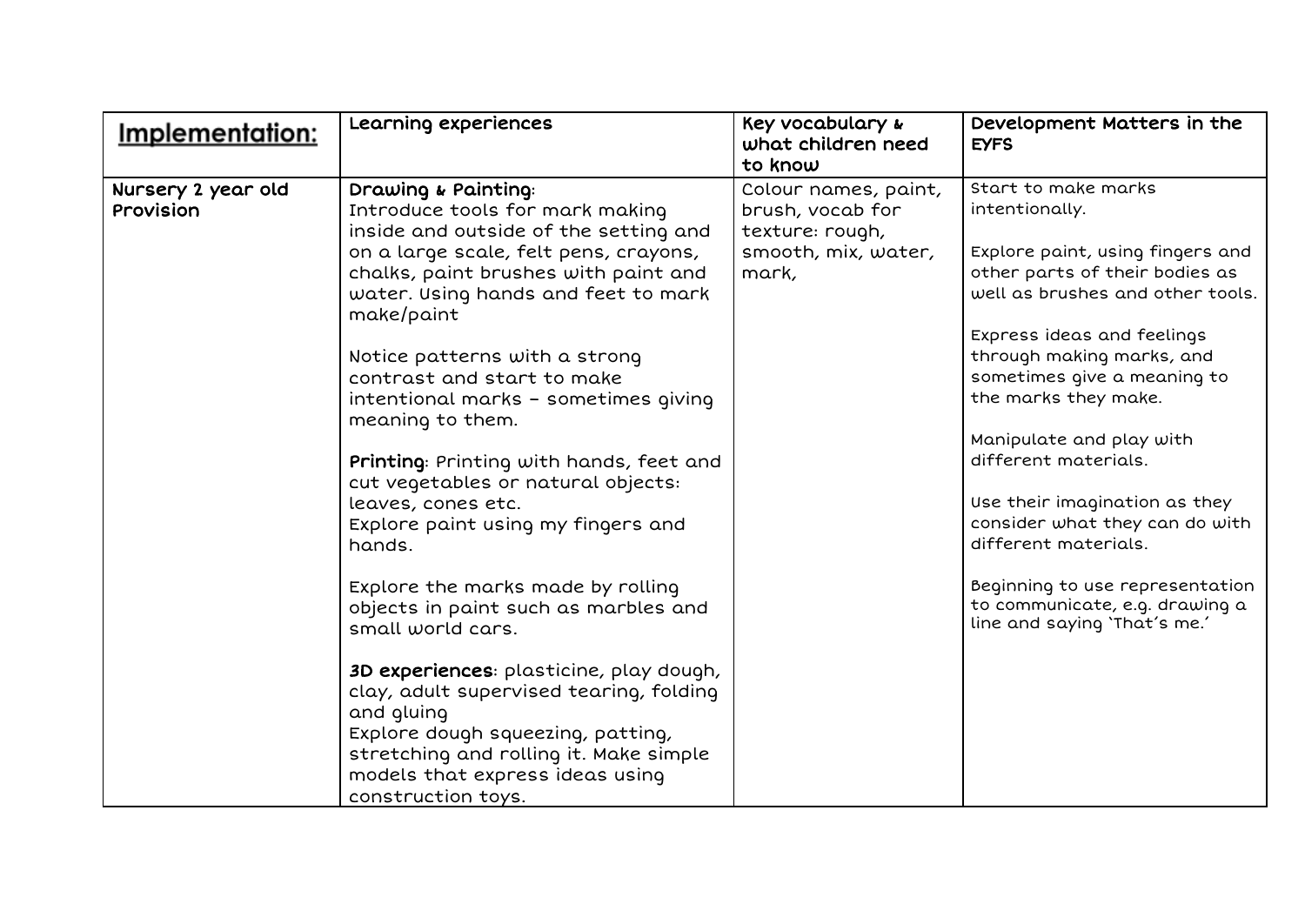| <u>Implementation:</u>          | Learning experiences                                                                                                                                                                                                                     | Key vocabulary &<br>what children need<br>to know                                           | Development Matters in the<br><b>EYFS</b>                                                                                                       |
|---------------------------------|------------------------------------------------------------------------------------------------------------------------------------------------------------------------------------------------------------------------------------------|---------------------------------------------------------------------------------------------|-------------------------------------------------------------------------------------------------------------------------------------------------|
| Nursery 2 year old<br>Provision | Drawing & Painting:<br>Introduce tools for mark making<br>inside and outside of the setting and<br>on a large scale, felt pens, crayons,<br>chalks, paint brushes with paint and<br>water. Using hands and feet to mark<br>make/paint    | Colour names, paint,<br>brush, vocab for<br>texture: rough,<br>smooth, mix, water,<br>mark, | Start to make marks<br>intentionally.<br>Explore paint, using fingers and<br>other parts of their bodies as<br>well as brushes and other tools. |
|                                 | Notice patterns with a strong<br>contrast and start to make<br>intentional marks - sometimes giving<br>meaning to them.                                                                                                                  |                                                                                             | Express ideas and feelings<br>through making marks, and<br>sometimes give a meaning to<br>the marks they make.<br>Manipulate and play with      |
|                                 | Printing: Printing with hands, feet and<br>cut vegetables or natural objects:<br>leaves, cones etc.<br>Explore paint using my fingers and<br>hands.                                                                                      |                                                                                             | different materials.<br>Use their imagination as they<br>consider what they can do with<br>different materials.                                 |
|                                 | Explore the marks made by rolling<br>objects in paint such as marbles and<br>small world cars.                                                                                                                                           |                                                                                             | Beginning to use representation<br>to communicate, e.g. drawing a<br>line and saying 'That's me.'                                               |
|                                 | 3D experiences: plasticine, play dough,<br>clay, adult supervised tearing, folding<br>and gluing<br>Explore dough squeezing, patting,<br>stretching and rolling it. Make simple<br>models that express ideas using<br>construction toys. |                                                                                             |                                                                                                                                                 |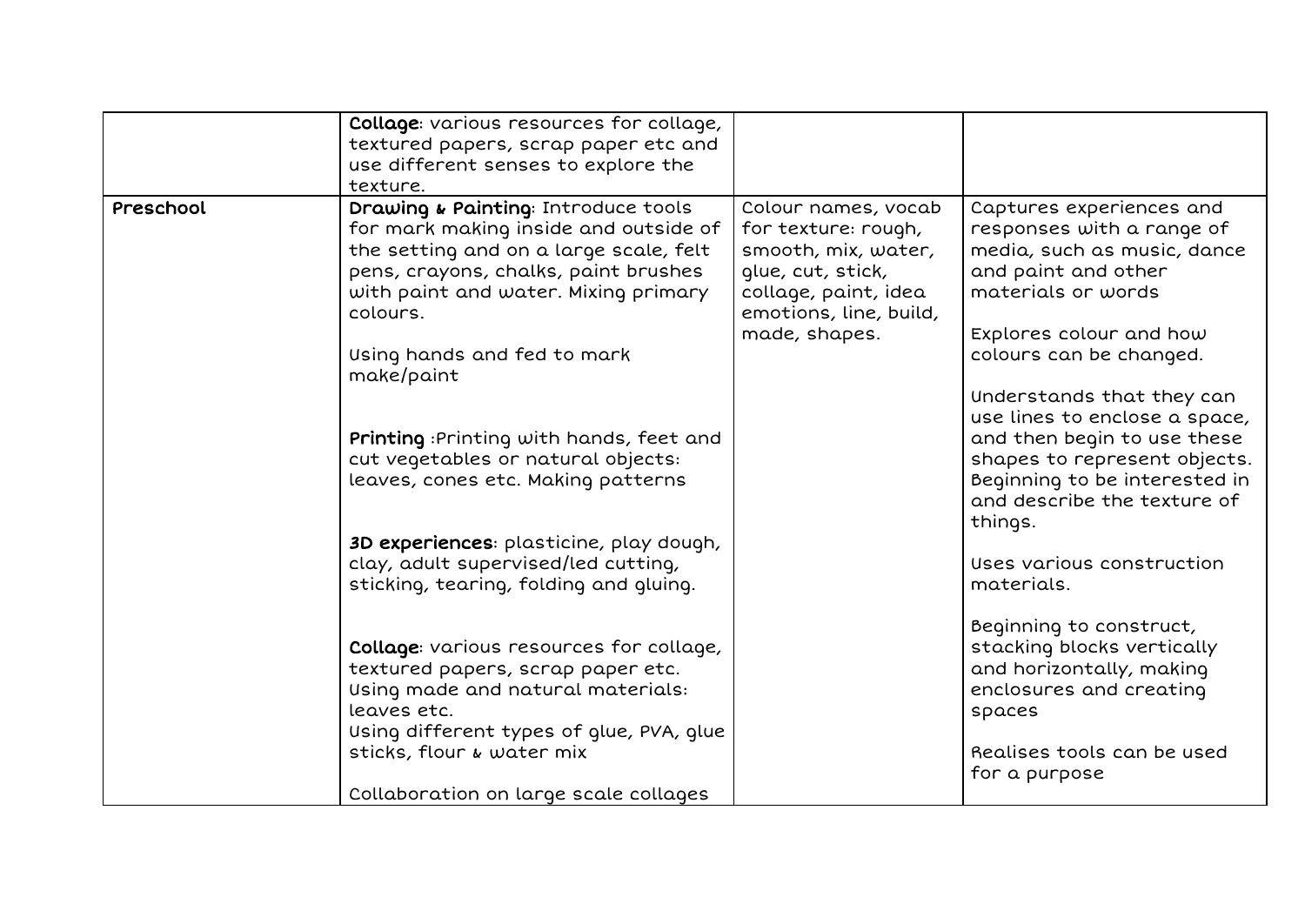|           | Collage: various resources for collage,<br>textured papers, scrap paper etc and<br>use different senses to explore the<br>texture.                                                                                                                              |                                                                                                                                                           |                                                                                                                                                                                                                                                       |
|-----------|-----------------------------------------------------------------------------------------------------------------------------------------------------------------------------------------------------------------------------------------------------------------|-----------------------------------------------------------------------------------------------------------------------------------------------------------|-------------------------------------------------------------------------------------------------------------------------------------------------------------------------------------------------------------------------------------------------------|
| Preschool | Drawing & Painting: Introduce tools<br>for mark making inside and outside of<br>the setting and on a large scale, felt<br>pens, crayons, chalks, paint brushes<br>with paint and water. Mixing primary<br>colours.<br>Using hands and fed to mark<br>make/paint | Colour names, vocab<br>for texture: rough,<br>smooth, mix, water,<br>glue, cut, stick,<br>collage, paint, idea<br>emotions, line, build,<br>made, shapes. | Captures experiences and<br>responses with a range of<br>media, such as music, dance<br>and paint and other<br>materials or words<br>Explores colour and how<br>colours can be changed.<br>Understands that they can<br>use lines to enclose a space, |
|           | Printing: Printing with hands, feet and<br>cut vegetables or natural objects:<br>leaves, cones etc. Making patterns                                                                                                                                             |                                                                                                                                                           | and then begin to use these<br>shapes to represent objects.<br>Beginning to be interested in<br>and describe the texture of<br>things.                                                                                                                |
|           | 3D experiences: plasticine, play dough,<br>clay, adult supervised/led cutting,<br>sticking, tearing, folding and gluing.                                                                                                                                        |                                                                                                                                                           | Uses various construction<br>materials.                                                                                                                                                                                                               |
|           | Collage: various resources for collage,<br>textured papers, scrap paper etc.<br>Using made and natural materials:<br>leaves etc.<br>Using different types of glue, PVA, glue<br>sticks, flour & water mix<br>Collaboration on large scale collages              |                                                                                                                                                           | Beginning to construct,<br>stacking blocks vertically<br>and horizontally, making<br>enclosures and creating<br>spaces<br>Realises tools can be used<br>for a purpose                                                                                 |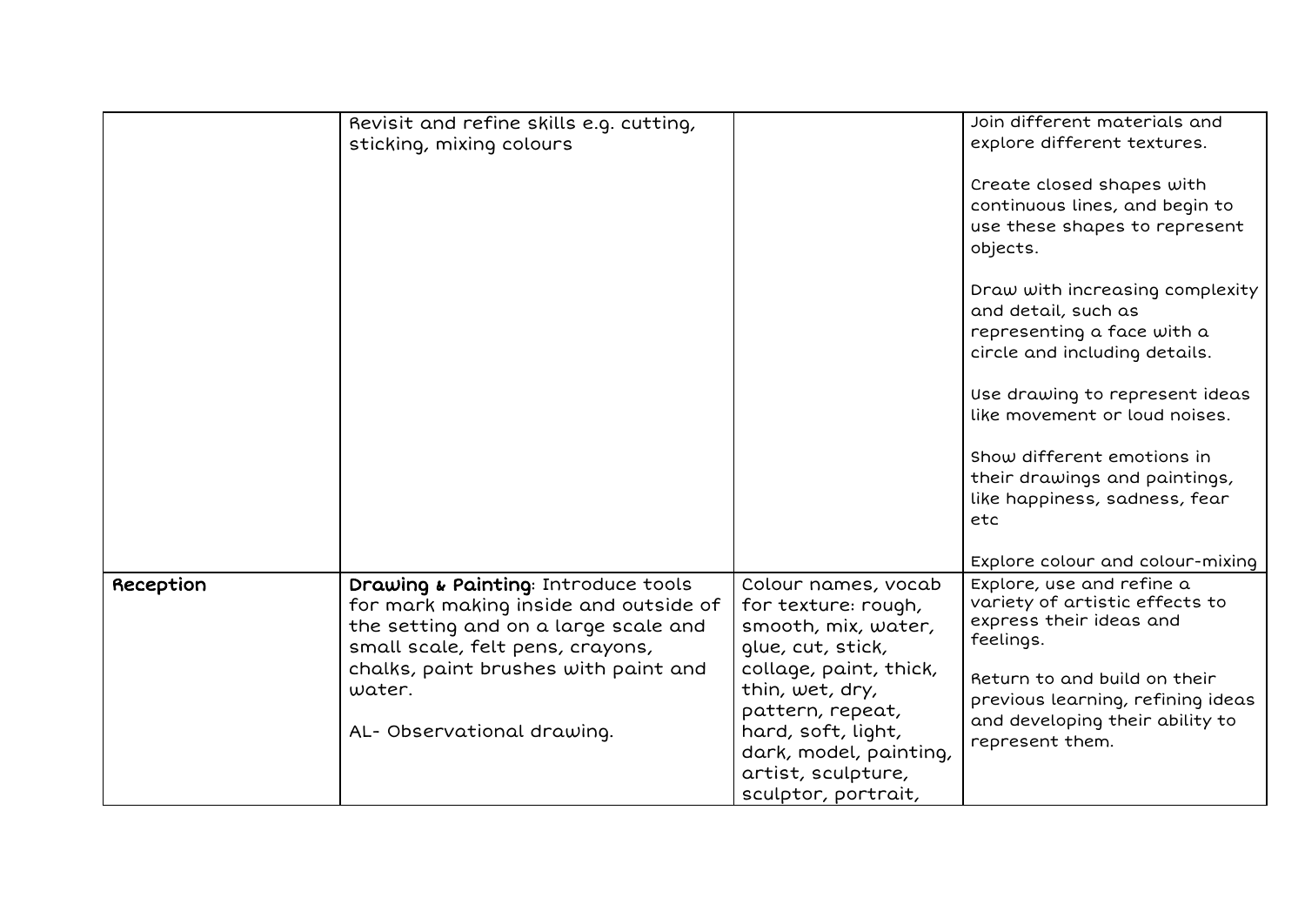|           | Revisit and refine skills e.g. cutting,<br>sticking, mixing colours                                                                                      |                                                                                                                                                            | Join different materials and<br>explore different textures.<br>Create closed shapes with<br>continuous lines, and begin to<br>use these shapes to represent<br>objects.<br>Draw with increasing complexity<br>and detail, such as<br>representing a face with a<br>circle and including details.<br>Use drawing to represent ideas<br>like movement or loud noises.<br>Show different emotions in<br>their drawings and paintings,<br>like happiness, sadness, fear<br>etc |
|-----------|----------------------------------------------------------------------------------------------------------------------------------------------------------|------------------------------------------------------------------------------------------------------------------------------------------------------------|----------------------------------------------------------------------------------------------------------------------------------------------------------------------------------------------------------------------------------------------------------------------------------------------------------------------------------------------------------------------------------------------------------------------------------------------------------------------------|
| Reception | Drawing & Painting: Introduce tools<br>for mark making inside and outside of<br>the setting and on a large scale and<br>small scale, felt pens, crayons, | Colour names, vocab<br>for texture: rough,<br>smooth, mix, water,<br>qlue, cut, stick,                                                                     | Explore colour and colour-mixing<br>Explore, use and refine a<br>variety of artistic effects to<br>express their ideas and<br>feelings.                                                                                                                                                                                                                                                                                                                                    |
|           | chalks, paint brushes with paint and<br>water.<br>AL- Observational drawing.                                                                             | collage, paint, thick,<br>thin, wet, dry,<br>pattern, repeat,<br>hard, soft, light,<br>dark, model, painting,<br>artist, sculpture,<br>sculptor, portrait, | Return to and build on their<br>previous learning, refining ideas<br>and developing their ability to<br>represent them.                                                                                                                                                                                                                                                                                                                                                    |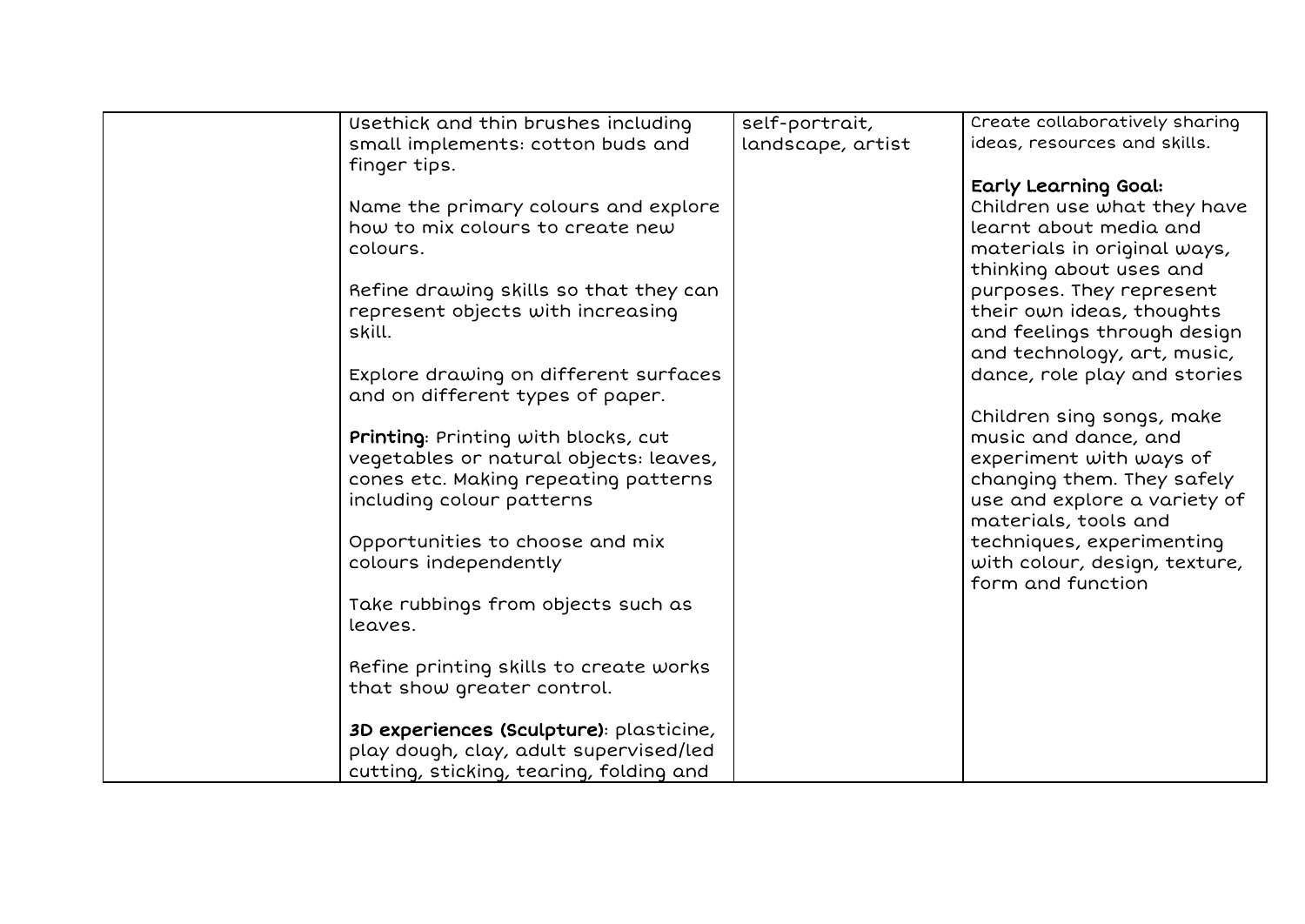| Usethick and thin brushes including     | self-portrait,    | Create collaboratively sharing |
|-----------------------------------------|-------------------|--------------------------------|
| small implements: cotton buds and       | landscape, artist | ideas, resources and skills.   |
| finger tips.                            |                   |                                |
|                                         |                   | Early Learning Goal:           |
| Name the primary colours and explore    |                   | Children use what they have    |
| how to mix colours to create new        |                   | learnt about media and         |
| colours.                                |                   | materials in original ways,    |
|                                         |                   |                                |
|                                         |                   | thinking about uses and        |
| Refine drawing skills so that they can  |                   | purposes. They represent       |
| represent objects with increasing       |                   | their own ideas, thoughts      |
| skill.                                  |                   | and feelings through design    |
|                                         |                   | and technology, art, music,    |
| Explore drawing on different surfaces   |                   | dance, role play and stories   |
| and on different types of paper.        |                   |                                |
|                                         |                   | Children sing songs, make      |
| Printing: Printing with blocks, cut     |                   | music and dance, and           |
| vegetables or natural objects: leaves,  |                   | experiment with ways of        |
| cones etc. Making repeating patterns    |                   | changing them. They safely     |
| including colour patterns               |                   | use and explore a variety of   |
|                                         |                   |                                |
|                                         |                   | materials, tools and           |
| Opportunities to choose and mix         |                   | techniques, experimenting      |
| colours independently                   |                   | with colour, design, texture,  |
|                                         |                   | form and function              |
| Take rubbings from objects such as      |                   |                                |
| leaves.                                 |                   |                                |
|                                         |                   |                                |
| Refine printing skills to create works  |                   |                                |
| that show greater control.              |                   |                                |
|                                         |                   |                                |
| 3D experiences (Sculpture): plasticine, |                   |                                |
| play dough, clay, adult supervised/led  |                   |                                |
| cutting, sticking, tearing, folding and |                   |                                |
|                                         |                   |                                |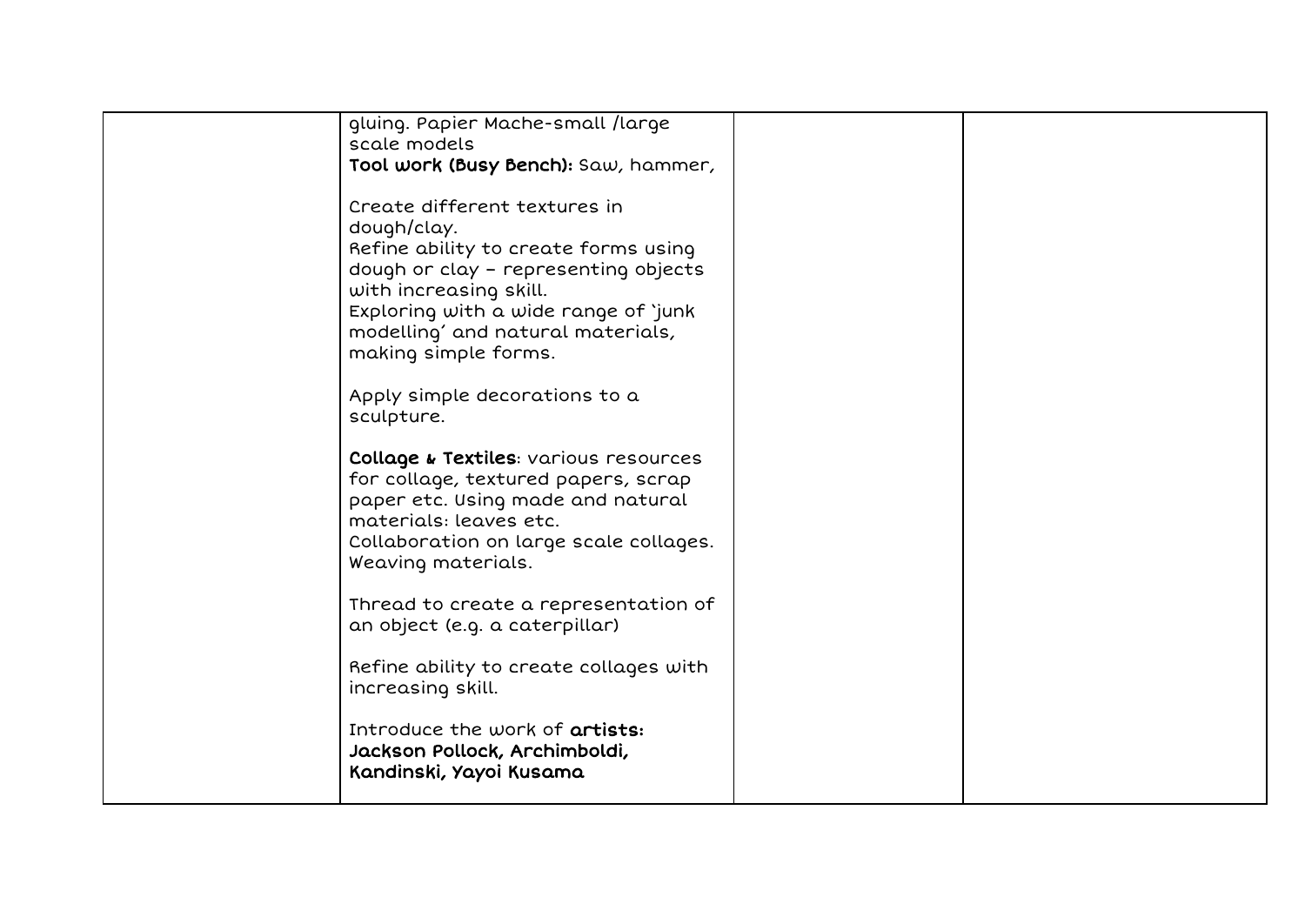| gluing. Papier Mache-small /large      |  |
|----------------------------------------|--|
| scale models                           |  |
| Tool work (Busy Bench): Saw, hammer,   |  |
|                                        |  |
| Create different textures in           |  |
| dough/clay.                            |  |
|                                        |  |
| Refine ability to create forms using   |  |
| dough or clay - representing objects   |  |
| with increasing skill.                 |  |
| Exploring with a wide range of 'junk   |  |
| modelling' and natural materials,      |  |
| making simple forms.                   |  |
|                                        |  |
| Apply simple decorations to a          |  |
| sculpture.                             |  |
|                                        |  |
| Collage & Textiles: various resources  |  |
| for collage, textured papers, scrap    |  |
| paper etc. Using made and natural      |  |
| materials: leaves etc.                 |  |
| Collaboration on large scale collages. |  |
| Weaving materials.                     |  |
|                                        |  |
| Thread to create a representation of   |  |
| an object (e.g. a caterpillar)         |  |
|                                        |  |
| Refine ability to create collages with |  |
|                                        |  |
| increasing skill.                      |  |
|                                        |  |
| Introduce the work of <b>artists:</b>  |  |
| Jackson Pollock, Archimboldi,          |  |
| Kandinski, Yayoi Kusama                |  |
|                                        |  |